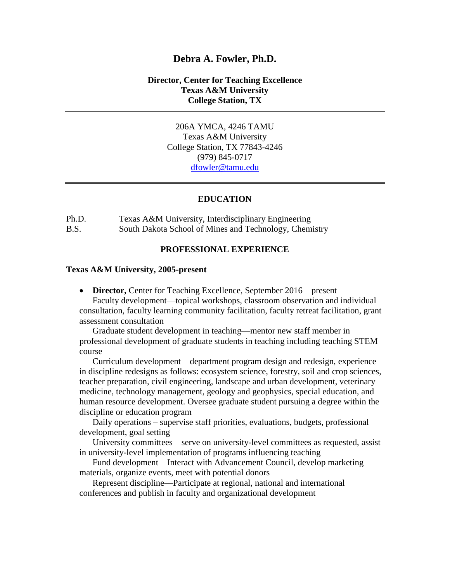### **Debra A. Fowler, Ph.D.**

#### **Director, Center for Teaching Excellence Texas A&M University College Station, TX**

206A YMCA, 4246 TAMU Texas A&M University College Station, TX 77843-4246 (979) 845-0717 [dfowler@tamu.edu](mailto:dfowler@tamu.edu)

#### **EDUCATION**

Ph.D. Texas A&M University, Interdisciplinary Engineering B.S. South Dakota School of Mines and Technology, Chemistry

#### **PROFESSIONAL EXPERIENCE**

#### **Texas A&M University, 2005-present**

• **Director, Center for Teaching Excellence, September 2016 – present** Faculty development—topical workshops, classroom observation and individual consultation, faculty learning community facilitation, faculty retreat facilitation, grant assessment consultation

Graduate student development in teaching—mentor new staff member in professional development of graduate students in teaching including teaching STEM course

Curriculum development—department program design and redesign, experience in discipline redesigns as follows: ecosystem science, forestry, soil and crop sciences, teacher preparation, civil engineering, landscape and urban development, veterinary medicine, technology management, geology and geophysics, special education, and human resource development. Oversee graduate student pursuing a degree within the discipline or education program

Daily operations – supervise staff priorities, evaluations, budgets, professional development, goal setting

University committees—serve on university-level committees as requested, assist in university-level implementation of programs influencing teaching

Fund development—Interact with Advancement Council, develop marketing materials, organize events, meet with potential donors

Represent discipline—Participate at regional, national and international conferences and publish in faculty and organizational development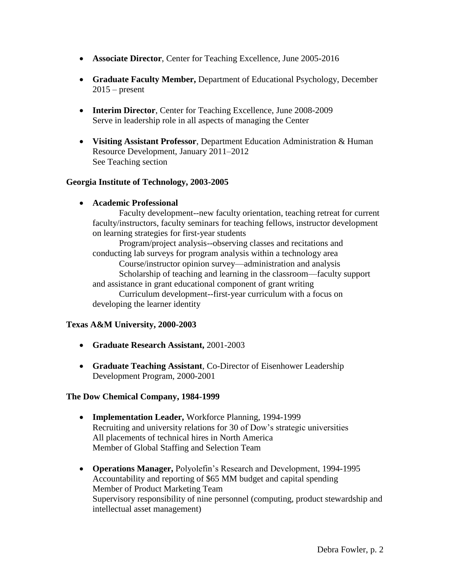- **Associate Director**, Center for Teaching Excellence, June 2005-2016
- **Graduate Faculty Member,** Department of Educational Psychology, December  $2015$  – present
- **Interim Director**, Center for Teaching Excellence, June 2008-2009 Serve in leadership role in all aspects of managing the Center
- **Visiting Assistant Professor**, Department Education Administration & Human Resource Development, January 2011–2012 See Teaching section

### **Georgia Institute of Technology, 2003-2005**

**Academic Professional**

Faculty development--new faculty orientation, teaching retreat for current faculty/instructors, faculty seminars for teaching fellows, instructor development on learning strategies for first-year students

Program/project analysis--observing classes and recitations and conducting lab surveys for program analysis within a technology area

Course/instructor opinion survey—administration and analysis

Scholarship of teaching and learning in the classroom—faculty support and assistance in grant educational component of grant writing

Curriculum development--first-year curriculum with a focus on developing the learner identity

## **Texas A&M University, 2000-2003**

- **Graduate Research Assistant,** 2001-2003
- **Graduate Teaching Assistant**, Co-Director of Eisenhower Leadership Development Program, 2000-2001

#### **The Dow Chemical Company, 1984-1999**

- **Implementation Leader,** Workforce Planning, 1994-1999 Recruiting and university relations for 30 of Dow's strategic universities All placements of technical hires in North America Member of Global Staffing and Selection Team
- **Operations Manager,** Polyolefin's Research and Development, 1994-1995 Accountability and reporting of \$65 MM budget and capital spending Member of Product Marketing Team Supervisory responsibility of nine personnel (computing, product stewardship and intellectual asset management)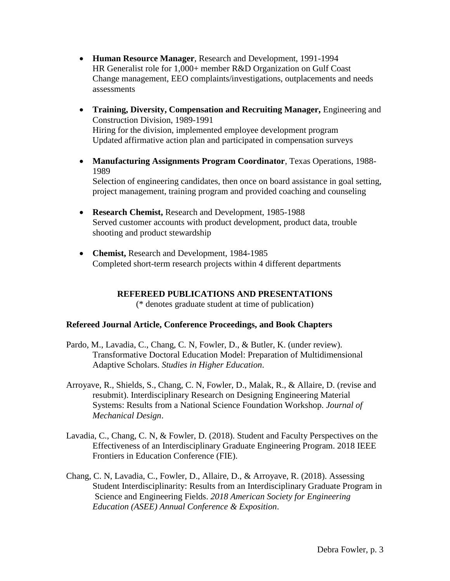- **Human Resource Manager**, Research and Development, 1991-1994 HR Generalist role for 1,000+ member R&D Organization on Gulf Coast Change management, EEO complaints/investigations, outplacements and needs assessments
- **Training, Diversity, Compensation and Recruiting Manager,** Engineering and Construction Division, 1989-1991 Hiring for the division, implemented employee development program Updated affirmative action plan and participated in compensation surveys
- **Manufacturing Assignments Program Coordinator**, Texas Operations, 1988- 1989 Selection of engineering candidates, then once on board assistance in goal setting, project management, training program and provided coaching and counseling
- **Research Chemist,** Research and Development, 1985-1988 Served customer accounts with product development, product data, trouble shooting and product stewardship
- **Chemist,** Research and Development, 1984-1985 Completed short-term research projects within 4 different departments

# **REFEREED PUBLICATIONS AND PRESENTATIONS**

(\* denotes graduate student at time of publication)

## **Refereed Journal Article, Conference Proceedings, and Book Chapters**

- Pardo, M., Lavadia, C., Chang, C. N, Fowler, D., & Butler, K. (under review). Transformative Doctoral Education Model: Preparation of Multidimensional Adaptive Scholars. *Studies in Higher Education*.
- Arroyave, R., Shields, S., Chang, C. N, Fowler, D., Malak, R., & Allaire, D. (revise and resubmit). Interdisciplinary Research on Designing Engineering Material Systems: Results from a National Science Foundation Workshop. *Journal of Mechanical Design*.
- Lavadia, C., Chang, C. N, & Fowler, D. (2018). Student and Faculty Perspectives on the Effectiveness of an Interdisciplinary Graduate Engineering Program. 2018 IEEE Frontiers in Education Conference (FIE).
- Chang, C. N, Lavadia, C., Fowler, D., Allaire, D., & Arroyave, R. (2018). Assessing Student Interdisciplinarity: Results from an Interdisciplinary Graduate Program in Science and Engineering Fields. *2018 American Society for Engineering Education (ASEE) Annual Conference & Exposition*.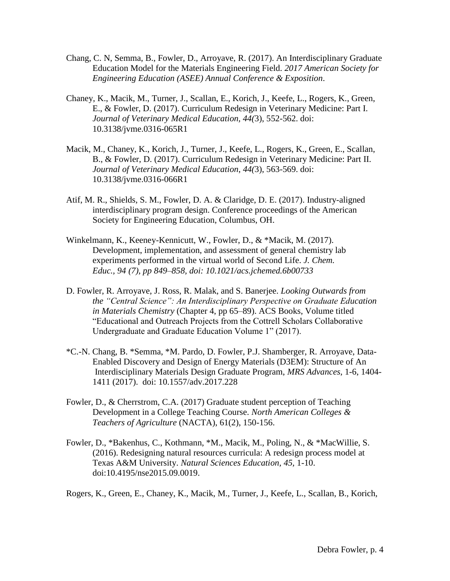- Chang, C. N, Semma, B., Fowler, D., Arroyave, R. (2017). An Interdisciplinary Graduate Education Model for the Materials Engineering Field. *2017 American Society for Engineering Education (ASEE) Annual Conference & Exposition*.
- Chaney, K., Macik, M., Turner, J., Scallan, E., Korich, J., Keefe, L., Rogers, K., Green, E., & Fowler, D. (2017). Curriculum Redesign in Veterinary Medicine: Part I. *Journal of Veterinary Medical Education, 44(*3), 552-562. doi: 10.3138/jvme.0316-065R1
- Macik, M., Chaney, K., Korich, J., Turner, J., Keefe, L., Rogers, K., Green, E., Scallan, B., & Fowler, D. (2017). Curriculum Redesign in Veterinary Medicine: Part II. *Journal of Veterinary Medical Education*, *44(*3), 563-569. doi: 10.3138/jvme.0316-066R1
- Atif, M. R., Shields, S. M., Fowler, D. A. & Claridge, D. E. (2017). Industry-aligned interdisciplinary program design. Conference proceedings of the American Society for Engineering Education, Columbus, OH.
- Winkelmann, K., Keeney-Kennicutt, W., Fowler, D., & \*Macik, M. (2017). Development, implementation, and assessment of general chemistry lab experiments performed in the virtual world of Second Life. *J. Chem. Educ., 94 (7), pp 849–858, doi: 10.1021/acs.jchemed.6b00733*
- D. Fowler, R. Arroyave, J. Ross, R. Malak, and S. Banerjee. *Looking Outwards from the "Central Science": An Interdisciplinary Perspective on Graduate Education in Materials Chemistry* (Chapter 4, pp 65–89). ACS Books, Volume titled "Educational and Outreach Projects from the Cottrell Scholars Collaborative Undergraduate and Graduate Education Volume 1" (2017).
- \*C.-N. Chang, B. \*Semma, \*M. Pardo, D. Fowler, P.J. Shamberger, R. Arroyave, Data-Enabled Discovery and Design of Energy Materials (D3EM): Structure of An Interdisciplinary Materials Design Graduate Program, *MRS Advances*, 1-6, 1404- 1411 (2017). doi: 10.1557/adv.2017.228
- Fowler, D., & Cherrstrom, C.A. (2017) Graduate student perception of Teaching Development in a College Teaching Course. *North American Colleges & Teachers of Agriculture* (NACTA), 61(2), 150-156.
- Fowler, D., \*Bakenhus, C., Kothmann, \*M., Macik, M., Poling, N., & \*MacWillie, S. (2016). Redesigning natural resources curricula: A redesign process model at Texas A&M University. *Natural Sciences Education, 45,* 1-10. doi:10.4195/nse2015.09.0019.

Rogers, K., Green, E., Chaney, K., Macik, M., Turner, J., Keefe, L., Scallan, B., Korich,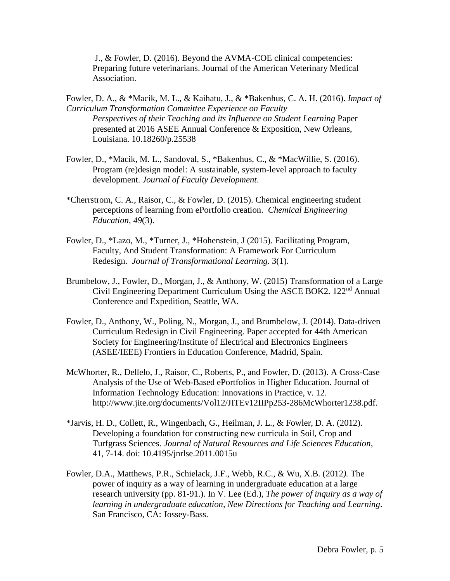J., & Fowler, D. (2016). Beyond the AVMA-COE clinical competencies: Preparing future veterinarians. Journal of the American Veterinary Medical Association.

- Fowler, D. A., & \*Macik, M. L., & Kaihatu, J., & \*Bakenhus, C. A. H. (2016). *Impact of Curriculum Transformation Committee Experience on Faculty Perspectives of their Teaching and its Influence on Student Learning* Paper presented at 2016 ASEE Annual Conference & Exposition, New Orleans, Louisiana. 10.18260/p.25538
- Fowler, D., \*Macik, M. L., Sandoval, S., \*Bakenhus, C., & \*MacWillie, S. (2016). Program (re)design model: A sustainable, system-level approach to faculty development. *Journal of Faculty Development*.
- \*Cherrstrom, C. A., Raisor, C., & Fowler, D. (2015). Chemical engineering student perceptions of learning from ePortfolio creation. *Chemical Engineering Education, 49*(3).
- Fowler, D., \*Lazo, M., \*Turner, J., \*Hohenstein, J (2015). Facilitating Program, Faculty, And Student Transformation: A Framework For Curriculum Redesign. *Journal of Transformational Learning*. 3(1).
- Brumbelow, J., Fowler, D., Morgan, J., & Anthony, W. (2015) Transformation of a Large Civil Engineering Department Curriculum Using the ASCE BOK2. 122<sup>nd</sup> Annual Conference and Expedition, Seattle, WA.
- Fowler, D., Anthony, W., Poling, N., Morgan, J., and Brumbelow, J. (2014). Data-driven Curriculum Redesign in Civil Engineering. Paper accepted for 44th American Society for Engineering/Institute of Electrical and Electronics Engineers (ASEE/IEEE) Frontiers in Education Conference, Madrid, Spain.
- McWhorter, R., Dellelo, J., Raisor, C., Roberts, P., and Fowler, D. (2013). A Cross-Case Analysis of the Use of Web-Based ePortfolios in Higher Education. Journal of Information Technology Education: Innovations in Practice, v. 12. http://www.jite.org/documents/Vol12/JITEv12IIPp253-286McWhorter1238.pdf.
- \*Jarvis, H. D., Collett, R., Wingenbach, G., Heilman, J. L., & Fowler, D. A. (2012). Developing a foundation for constructing new curricula in Soil, Crop and Turfgrass Sciences. *Journal of Natural Resources and Life Sciences Education*, 41, 7-14. doi: 10.4195/jnrlse.2011.0015u
- Fowler, D.A., Matthews, P.R., Schielack, J.F., Webb, R.C., & Wu, X.B. (2012*).* The power of inquiry as a way of learning in undergraduate education at a large research university (pp. 81-91.). In V. Lee (Ed.), *The power of inquiry as a way of learning in undergraduate education, New Directions for Teaching and Learning*. San Francisco, CA: Jossey-Bass.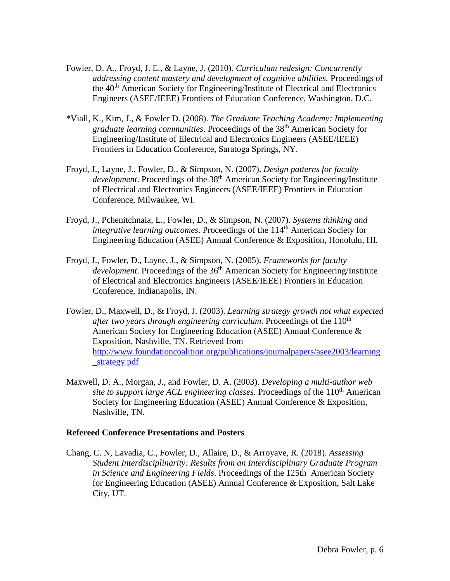- Fowler, D. A., Froyd, J. E., & Layne, J. (2010). *Curriculum redesign: Concurrently addressing content mastery and development of cognitive abilities.* Proceedings of the 40<sup>th</sup> American Society for Engineering/Institute of Electrical and Electronics Engineers (ASEE/IEEE) Frontiers of Education Conference, Washington, D.C.
- \*Viall, K., Kim, J., & Fowler D. (2008). *The Graduate Teaching Academy: Implementing graduate learning communities*. Proceedings of the 38th American Society for Engineering/Institute of Electrical and Electronics Engineers (ASEE/IEEE) Frontiers in Education Conference, Saratoga Springs, NY.
- Froyd, J., Layne, J., Fowler, D., & Simpson, N. (2007). *Design patterns for faculty development*. Proceedings of the 38<sup>th</sup> American Society for Engineering/Institute of Electrical and Electronics Engineers (ASEE/IEEE) Frontiers in Education Conference, Milwaukee, WI.
- Froyd, J., Pchenitchnaia, L., Fowler, D., & Simpson, N. (2007). *Systems thinking and integrative learning outcomes.* Proceedings of the 114<sup>th</sup> American Society for Engineering Education (ASEE) Annual Conference & Exposition, Honolulu, HI.
- Froyd, J., Fowler, D., Layne, J., & Simpson, N. (2005). *Frameworks for faculty development*. Proceedings of the 36<sup>th</sup> American Society for Engineering/Institute of Electrical and Electronics Engineers (ASEE/IEEE) Frontiers in Education Conference, Indianapolis, IN.
- Fowler, D., Maxwell, D., & Froyd, J. (2003). *Learning strategy growth not what expected after two years through engineering curriculum.* Proceedings of the 110<sup>th</sup> American Society for Engineering Education (ASEE) Annual Conference & Exposition, Nashville, TN. Retrieved from [http://www.foundationcoalition.org/publications/journalpapers/asee2003/learning](http://www.foundationcoalition.org/publications/journalpapers/asee2003/learning_strategy.pdf) [\\_strategy.pdf](http://www.foundationcoalition.org/publications/journalpapers/asee2003/learning_strategy.pdf)
- Maxwell, D. A., Morgan, J., and Fowler, D. A. (2003). *Developing a multi-author web* site to support large ACL engineering classes. Proceedings of the 110<sup>th</sup> American Society for Engineering Education (ASEE) Annual Conference & Exposition, Nashville, TN.

#### **Refereed Conference Presentations and Posters**

Chang, C. N, Lavadia, C., Fowler, D., Allaire, D., & Arroyave, R. (2018). *Assessing Student Interdisciplinarity: Results from an Interdisciplinary Graduate Program in Science and Engineering Fields*. Proceedings of the 125th American Society for Engineering Education (ASEE) Annual Conference & Exposition, Salt Lake City, UT.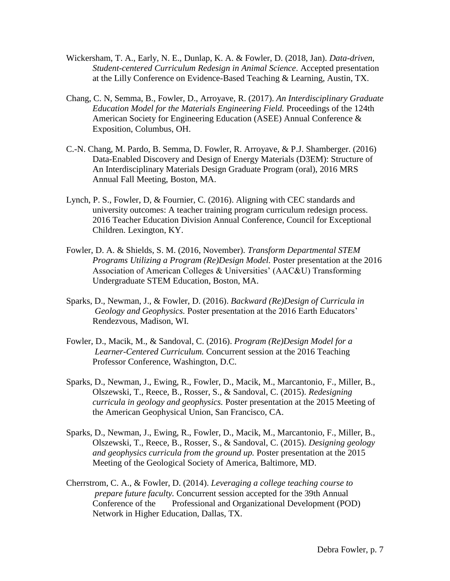- Wickersham, T. A., Early, N. E., Dunlap, K. A. & Fowler, D. (2018, Jan). *Data-driven, Student-centered Curriculum Redesign in Animal Science*. Accepted presentation at the Lilly Conference on Evidence-Based Teaching & Learning, Austin, TX.
- Chang, C. N, Semma, B., Fowler, D., Arroyave, R. (2017). *An Interdisciplinary Graduate Education Model for the Materials Engineering Field.* Proceedings of the 124th American Society for Engineering Education (ASEE) Annual Conference & Exposition, Columbus, OH.
- C.-N. Chang, M. Pardo, B. Semma, D. Fowler, R. Arroyave, & P.J. Shamberger. (2016) Data-Enabled Discovery and Design of Energy Materials (D3EM): Structure of An Interdisciplinary Materials Design Graduate Program (oral), 2016 MRS Annual Fall Meeting, Boston, MA.
- Lynch, P. S., Fowler, D, & Fournier, C. (2016). Aligning with CEC standards and university outcomes: A teacher training program curriculum redesign process. 2016 Teacher Education Division Annual Conference, Council for Exceptional Children. Lexington, KY.
- Fowler, D. A. & Shields, S. M. (2016, November). *Transform Departmental STEM Programs Utilizing a Program (Re)Design Model.* Poster presentation at the 2016 Association of American Colleges & Universities' (AAC&U) Transforming Undergraduate STEM Education, Boston, MA.
- Sparks, D., Newman, J., & Fowler, D. (2016). *Backward (Re)Design of Curricula in Geology and Geophysics.* Poster presentation at the 2016 Earth Educators' Rendezvous, Madison, WI.
- Fowler, D., Macik, M., & Sandoval, C. (2016). *Program (Re)Design Model for a Learner-Centered Curriculum.* Concurrent session at the 2016 Teaching Professor Conference, Washington, D.C.
- Sparks, D., Newman, J., Ewing, R., Fowler, D., Macik, M., Marcantonio, F., Miller, B., Olszewski, T., Reece, B., Rosser, S., & Sandoval, C. (2015). *Redesigning curricula in geology and geophysics.* Poster presentation at the 2015 Meeting of the American Geophysical Union, San Francisco, CA.
- Sparks, D., Newman, J., Ewing, R., Fowler, D., Macik, M., Marcantonio, F., Miller, B., Olszewski, T., Reece, B., Rosser, S., & Sandoval, C. (2015). *Designing geology and geophysics curricula from the ground up.* Poster presentation at the 2015 Meeting of the Geological Society of America, Baltimore, MD.
- Cherrstrom, C. A., & Fowler, D. (2014). *Leveraging a college teaching course to prepare future faculty.* Concurrent session accepted for the 39th Annual Conference of the Professional and Organizational Development (POD) Network in Higher Education, Dallas, TX.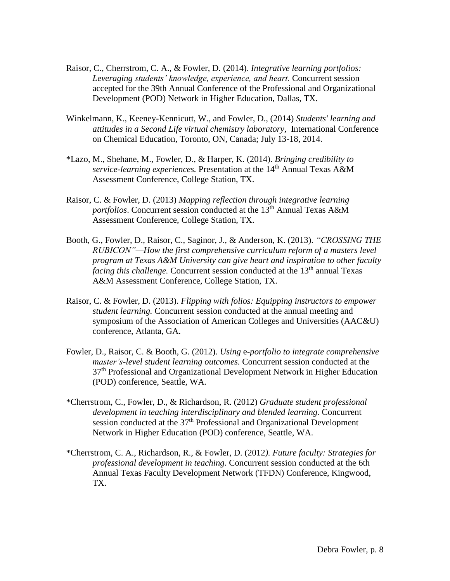- Raisor, C., Cherrstrom, C. A., & Fowler, D. (2014). *Integrative learning portfolios: Leveraging students' knowledge, experience, and heart.* Concurrent session accepted for the 39th Annual Conference of the Professional and Organizational Development (POD) Network in Higher Education, Dallas, TX.
- Winkelmann, K., Keeney-Kennicutt, W., and Fowler, D., (2014) *Students' learning and attitudes in a Second Life virtual chemistry laboratory,* International Conference on Chemical Education, Toronto, ON, Canada; July 13-18, 2014.
- \*Lazo, M., Shehane, M., Fowler, D., & Harper, K. (2014). *Bringing credibility to service-learning experiences.* Presentation at the 14th Annual Texas A&M Assessment Conference, College Station, TX.
- Raisor, C. & Fowler, D. (2013) *Mapping reflection through integrative learning* portfolios. Concurrent session conducted at the 13<sup>th</sup> Annual Texas A&M Assessment Conference, College Station, TX.
- Booth, G., Fowler, D., Raisor, C., Saginor, J., & Anderson, K. (2013). *"CROSSING THE RUBICON"—How the first comprehensive curriculum reform of a masters level program at Texas A&M University can give heart and inspiration to other faculty facing this challenge.* Concurrent session conducted at the 13<sup>th</sup> annual Texas A&M Assessment Conference, College Station, TX*.*
- Raisor, C. & Fowler, D. (2013). *Flipping with folios: Equipping instructors to empower student learning.* Concurrent session conducted at the annual meeting and symposium of the Association of American Colleges and Universities (AAC&U) conference, Atlanta, GA.
- Fowler, D., Raisor, C. & Booth, G. (2012). *Using* e-*portfolio to integrate comprehensive master's-level student learning outcomes.* Concurrent session conducted at the 37<sup>th</sup> Professional and Organizational Development Network in Higher Education (POD) conference, Seattle, WA*.*
- \*Cherrstrom, C., Fowler, D., & Richardson, R. (2012) *Graduate student professional development in teaching interdisciplinary and blended learning.* Concurrent session conducted at the 37<sup>th</sup> Professional and Organizational Development Network in Higher Education (POD) conference, Seattle, WA*.*
- \*Cherrstrom, C. A., Richardson, R., & Fowler, D. (2012*). Future faculty: Strategies for professional development in teaching*. Concurrent session conducted at the 6th Annual Texas Faculty Development Network (TFDN) Conference, Kingwood, TX.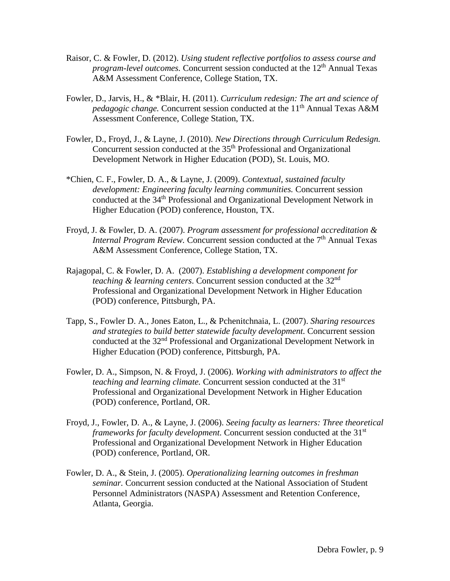- Raisor, C. & Fowler, D. (2012). *Using student reflective portfolios to assess course and program-level outcomes.* Concurrent session conducted at the 12<sup>th</sup> Annual Texas A&M Assessment Conference, College Station, TX.
- Fowler, D., Jarvis, H., & \*Blair, H. (2011). *Curriculum redesign: The art and science of pedagogic change.* Concurrent session conducted at the 11<sup>th</sup> Annual Texas A&M Assessment Conference, College Station, TX.
- Fowler, D., Froyd, J., & Layne, J. (2010). *New Directions through Curriculum Redesign.*  Concurrent session conducted at the 35<sup>th</sup> Professional and Organizational Development Network in Higher Education (POD), St. Louis, MO.
- \*Chien, C. F., Fowler, D. A., & Layne, J. (2009). *Contextual, sustained faculty development: Engineering faculty learning communities.* Concurrent session conducted at the 34th Professional and Organizational Development Network in Higher Education (POD) conference, Houston, TX.
- Froyd, J. & Fowler, D. A. (2007). *Program assessment for professional accreditation & Internal Program Review.* Concurrent session conducted at the 7<sup>th</sup> Annual Texas A&M Assessment Conference, College Station, TX.
- Rajagopal, C. & Fowler, D. A. (2007). *Establishing a development component for teaching & learning centers*. Concurrent session conducted at the 32nd Professional and Organizational Development Network in Higher Education (POD) conference, Pittsburgh, PA.
- Tapp, S., Fowler D. A., Jones Eaton, L., & Pchenitchnaia, L. (2007). *Sharing resources and strategies to build better statewide faculty development.* Concurrent session conducted at the 32nd Professional and Organizational Development Network in Higher Education (POD) conference, Pittsburgh, PA.
- Fowler, D. A., Simpson, N. & Froyd, J. (2006). *Working with administrators to affect the teaching and learning climate.* Concurrent session conducted at the 31<sup>st</sup> Professional and Organizational Development Network in Higher Education (POD) conference, Portland, OR.
- Froyd, J., Fowler, D. A., & Layne, J. (2006). *Seeing faculty as learners: Three theoretical frameworks for faculty development.* Concurrent session conducted at the 31<sup>st</sup> Professional and Organizational Development Network in Higher Education (POD) conference, Portland, OR.
- Fowler, D. A., & Stein, J. (2005). *Operationalizing learning outcomes in freshman seminar.* Concurrent session conducted at the National Association of Student Personnel Administrators (NASPA) Assessment and Retention Conference, Atlanta, Georgia.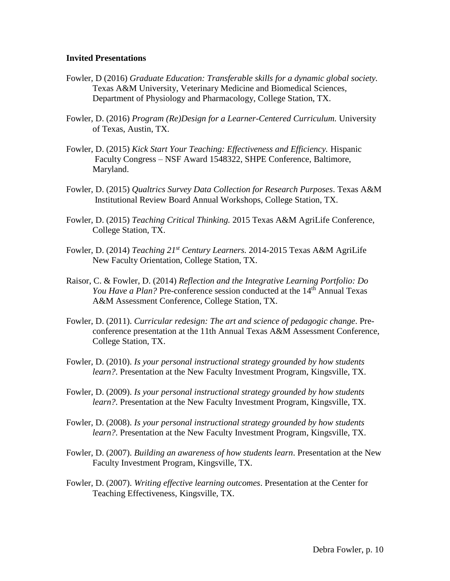#### **Invited Presentations**

- Fowler, D (2016) *Graduate Education: Transferable skills for a dynamic global society.* Texas A&M University, Veterinary Medicine and Biomedical Sciences, Department of Physiology and Pharmacology, College Station, TX.
- Fowler, D. (2016) *Program (Re)Design for a Learner-Centered Curriculum.* University of Texas, Austin, TX.
- Fowler, D. (2015) *Kick Start Your Teaching: Effectiveness and Efficiency.* Hispanic Faculty Congress – NSF Award 1548322, SHPE Conference, Baltimore, Maryland.
- Fowler, D. (2015) *Qualtrics Survey Data Collection for Research Purposes*. Texas A&M Institutional Review Board Annual Workshops, College Station, TX.
- Fowler, D. (2015) *Teaching Critical Thinking.* 2015 Texas A&M AgriLife Conference, College Station, TX.
- Fowler, D. (2014) *Teaching 21st Century Learners.* 2014-2015 Texas A&M AgriLife New Faculty Orientation, College Station, TX.
- Raisor, C. & Fowler, D. (2014) *Reflection and the Integrative Learning Portfolio: Do You Have a Plan?* Pre-conference session conducted at the 14<sup>th</sup> Annual Texas A&M Assessment Conference, College Station, TX.
- Fowler, D. (2011). *Curricular redesign: The art and science of pedagogic change*. Preconference presentation at the 11th Annual Texas A&M Assessment Conference, College Station, TX.
- Fowler, D. (2010). *Is your personal instructional strategy grounded by how students learn?*. Presentation at the New Faculty Investment Program, Kingsville, TX.
- Fowler, D. (2009). *Is your personal instructional strategy grounded by how students learn?*. Presentation at the New Faculty Investment Program, Kingsville, TX.
- Fowler, D. (2008). *Is your personal instructional strategy grounded by how students learn?*. Presentation at the New Faculty Investment Program, Kingsville, TX.
- Fowler, D. (2007). *Building an awareness of how students learn*. Presentation at the New Faculty Investment Program, Kingsville, TX.
- Fowler, D. (2007). *Writing effective learning outcomes*. Presentation at the Center for Teaching Effectiveness, Kingsville, TX.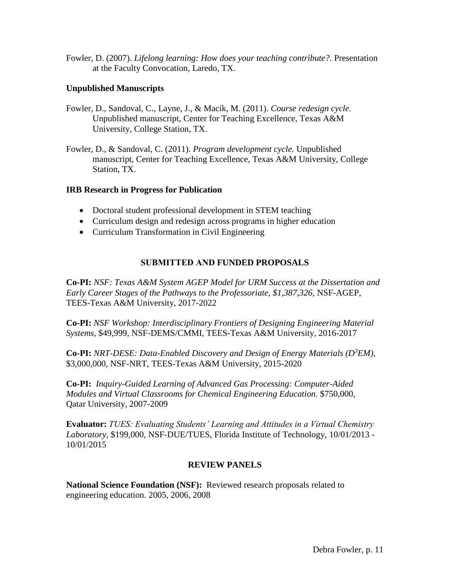Fowler, D. (2007). *Lifelong learning: How does your teaching contribute?*. Presentation at the Faculty Convocation, Laredo, TX.

## **Unpublished Manuscripts**

- Fowler, D., Sandoval, C., Layne, J., & Macik, M. (2011). *Course redesign cycle*. Unpublished manuscript, Center for Teaching Excellence, Texas A&M University, College Station, TX.
- Fowler, D., & Sandoval, C. (2011). *Program development cycle.* Unpublished manuscript, Center for Teaching Excellence, Texas A&M University, College Station, TX.

### **IRB Research in Progress for Publication**

- Doctoral student professional development in STEM teaching
- Curriculum design and redesign across programs in higher education
- Curriculum Transformation in Civil Engineering

## **SUBMITTED AND FUNDED PROPOSALS**

**Co-PI:** *NSF: Texas A&M System AGEP Model for URM Success at the Dissertation and Early Career Stages of the Pathways to the Professoriate, \$1,387,326,* NSF-AGEP, TEES-Texas A&M University, 2017-2022

**Co-PI:** *NSF Workshop: Interdisciplinary Frontiers of Designing Engineering Material Systems,* \$49,999, NSF-DEMS/CMMI, TEES-Texas A&M University, 2016-2017

**Co-PI:** *NRT-DESE: Data-Enabled Discovery and Design of Energy Materials (D<sup>3</sup>EM)*, \$3,000,000, NSF-NRT, TEES-Texas A&M University, 2015-2020

**Co-PI:** *Inquiry-Guided Learning of Advanced Gas Processing: Computer-Aided Modules and Virtual Classrooms for Chemical Engineering Education.* \$750,000, Qatar University, 2007-2009

**Evaluator:** *TUES: Evaluating Students' Learning and Attitudes in a Virtual Chemistry Laboratory*, \$199,000, NSF-DUE/TUES, Florida Institute of Technology, 10/01/2013 - 10/01/2015

#### **REVIEW PANELS**

**National Science Foundation (NSF):** Reviewed research proposals related to engineering education. 2005, 2006, 2008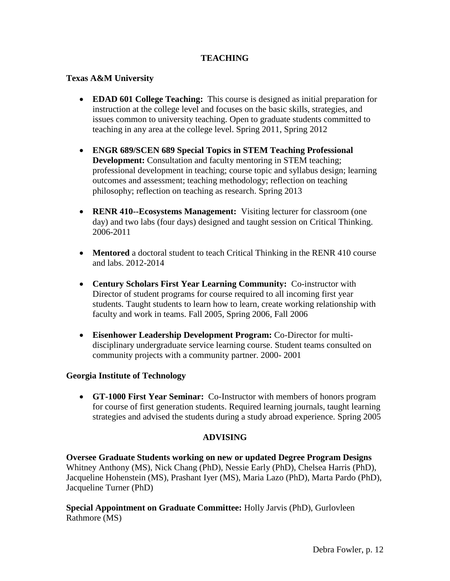# **TEACHING**

## **Texas A&M University**

- **EDAD 601 College Teaching:** This course is designed as initial preparation for instruction at the college level and focuses on the basic skills, strategies, and issues common to university teaching. Open to graduate students committed to teaching in any area at the college level. Spring 2011, Spring 2012
- **ENGR 689/SCEN 689 Special Topics in STEM Teaching Professional Development:** Consultation and faculty mentoring in STEM teaching; professional development in teaching; course topic and syllabus design; learning outcomes and assessment; teaching methodology; reflection on teaching philosophy; reflection on teaching as research. Spring 2013
- **RENR 410--Ecosystems Management:** Visiting lecturer for classroom (one) day) and two labs (four days) designed and taught session on Critical Thinking. 2006-2011
- **Mentored** a doctoral student to teach Critical Thinking in the RENR 410 course and labs. 2012-2014
- **Century Scholars First Year Learning Community:** Co-instructor with Director of student programs for course required to all incoming first year students. Taught students to learn how to learn, create working relationship with faculty and work in teams. Fall 2005, Spring 2006, Fall 2006
- **Eisenhower Leadership Development Program:** Co-Director for multidisciplinary undergraduate service learning course. Student teams consulted on community projects with a community partner. 2000- 2001

#### **Georgia Institute of Technology**

 **GT-1000 First Year Seminar:** Co-Instructor with members of honors program for course of first generation students. Required learning journals, taught learning strategies and advised the students during a study abroad experience. Spring 2005

## **ADVISING**

**Oversee Graduate Students working on new or updated Degree Program Designs** Whitney Anthony (MS), Nick Chang (PhD), Nessie Early (PhD), Chelsea Harris (PhD), Jacqueline Hohenstein (MS), Prashant Iyer (MS), Maria Lazo (PhD), Marta Pardo (PhD), Jacqueline Turner (PhD)

**Special Appointment on Graduate Committee:** Holly Jarvis (PhD), Gurlovleen Rathmore (MS)